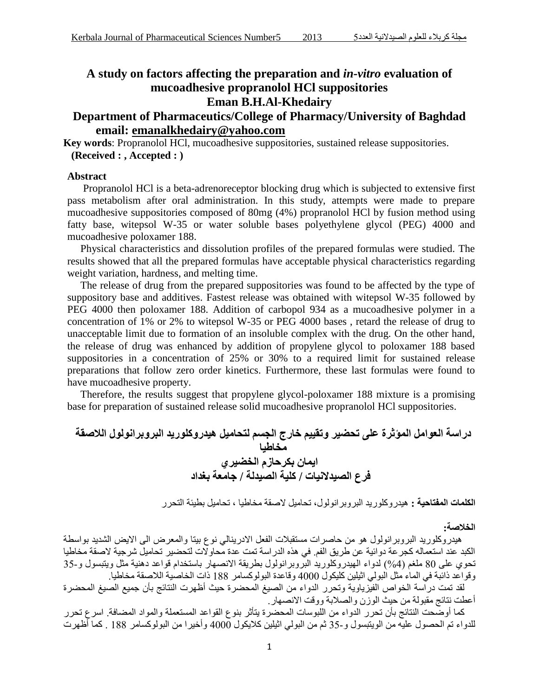# **A study on factors affecting the preparation and** *in-vitro* **evaluation of mucoadhesive propranolol HCl suppositories Eman B.H.Al-Khedairy**

# **Department of Pharmaceutics/College of Pharmacy/University of Baghdad email: [emanalkhedairy@yahoo.com](mailto:emanalkhedairy@yahoo.com)**

**Key words**: Propranolol HCl, mucoadhesive suppositories, sustained release suppositories. **(Received : , Accepted : )**

# **Abstract**

Propranolol HCl is a beta-adrenoreceptor blocking drug which is subjected to extensive first pass metabolism after oral administration. In this study, attempts were made to prepare mucoadhesive suppositories composed of 80mg (4%) propranolol HCl by fusion method using fatty base, witepsol W-35 or water soluble bases polyethylene glycol (PEG) 4000 and mucoadhesive poloxamer 188.

 Physical characteristics and dissolution profiles of the prepared formulas were studied. The results showed that all the prepared formulas have acceptable physical characteristics regarding weight variation, hardness, and melting time.

 The release of drug from the prepared suppositories was found to be affected by the type of suppository base and additives. Fastest release was obtained with witepsol W-35 followed by PEG 4000 then poloxamer 188. Addition of carbopol 934 as a mucoadhesive polymer in a concentration of 1% or 2% to witepsol W-35 or PEG 4000 bases , retard the release of drug to unacceptable limit due to formation of an insoluble complex with the drug. On the other hand, the release of drug was enhanced by addition of propylene glycol to poloxamer 188 based suppositories in a concentration of 25% or 30% to a required limit for sustained release preparations that follow zero order kinetics. Furthermore, these last formulas were found to have mucoadhesive property.

 Therefore, the results suggest that propylene glycol-poloxamer 188 mixture is a promising base for preparation of sustained release solid mucoadhesive propranolol HCl suppositories.

**دراسة العوامل المؤثرة على تحضير وتقييم خارج الجسم لتحاميل هيدروكلوريد البروبرانولول الالصقة مخاطيا ايمان بكرحازم الخضيري فرع الصيدالنيات / كلية الصيدلة / جامعة بغداد** 

**الكلمات المفتاحية :** هيدروكلوريد البروبرانولول، تحاميل الصقة مخاطيا ، تحاميل بطيئة التحرر

**الخالصة:**

 هيدروكلوريد البروبرانولول هو من حاصرات مستقبالت الفعل االدرينالي نوع بيتا والمعرض الى االيض الشديد بواسطة الكبد عند استعماله كجرعة دوائية عن طريق الفم. في هذه الدراسة تمت عدة محاوالت لتحضير تحاميل شرجية الصقة مخاطيا تحوي على 80 ملغم (4%) لدواء الهيدروكلوريد البروبرانولول بطريقة الانصهار باستخدام قواعد دهنية مثل ويتبسول و-35 وقواعد ذائبة في الماء مثل البولي اثيلين كليكول 4888 وقاعدة البولوكسامر 800 ذات الخاصية الالصقة مخاطيا.

 لقد تمت دراسة الخواص الفيزياوية وتحرر الدواء من الصيغ المحضرة حيث أظهرت النتائج بأن جميع الصيغ المحضرة أعطت نتائج مقبولة من حيث الوزن والصالبة ووقت االنصهار.

 كما أوضحت النتائج بأن تحرر الدواء من اللبوسات المحضرة يتأثر بنوع القواعد المستعملة والمواد المضافة. اسرع تحرر للدواء تم الحصول عليه من الويتبسول و55- ثم من البولي اثيلين كاليكول 4888 وأخيرا من البولوكسامر 800 . كما أظهرت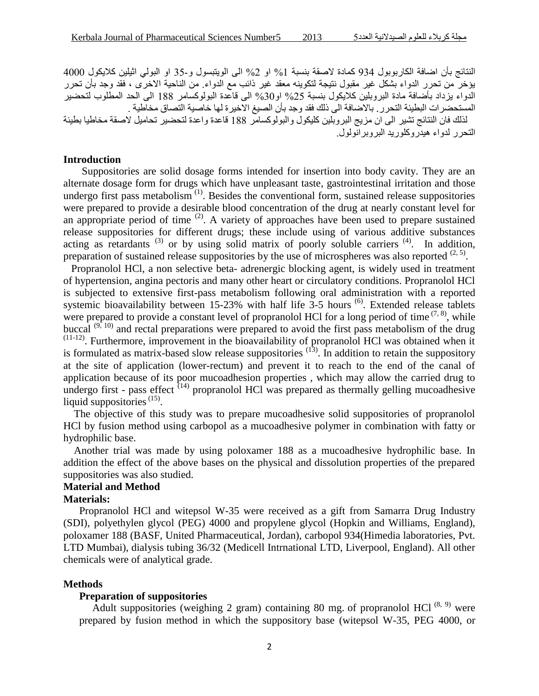النتائج بأن اضافة الكاربوبول 934 كمادة لاصقة بنسبة 1% او 2% الى الويتبسول و-35 او البولي اثيلين كلايكول 4000 يؤخر من تحرر الدواء بشكل غير مقبول نتيجة لتكوينه معقد غير ذائب مع الدواء. من الناحية االخرى ، فقد وجد بأن تحرر الدواء بزداد بأضافة مادة البروبلين كلايكول بنسبة 25% او30% الى قاعدة البولوكسامر 188 الى الحد المطلوب لتحضير المستحضرات البطيئة التحرر. باالضافة الى ذلك فقد وجد بأن الصيغ االخيرة لها خاصية التصاق مخاطية .

 لذلك فان النتائج تشير الى ان مزيج البروبلين كليكول والبولوكسامر 800 قاعدة واعدة لتحضير تحاميل الصقة مخاطيا بطيئة التحرر لدواء هيدروكلوريد البروبرانولول.

# **Introduction**

Suppositories are solid dosage forms intended for insertion into body cavity. They are an alternate dosage form for drugs which have unpleasant taste, gastrointestinal irritation and those undergo first pass metabolism<sup> $(1)$ </sup>. Besides the conventional form, sustained release suppositories were prepared to provide a desirable blood concentration of the drug at nearly constant level for an appropriate period of time  $(2)$ . A variety of approaches have been used to prepare sustained release suppositories for different drugs; these include using of various additive substances acting as retardants  $^{(3)}$  or by using solid matrix of poorly soluble carriers  $^{(4)}$ . In addition, preparation of sustained release suppositories by the use of microspheres was also reported  $(2, 5)$ .

 Propranolol HCl, a non selective beta- adrenergic blocking agent, is widely used in treatment of hypertension, angina pectoris and many other heart or circulatory conditions. Propranolol HCl is subjected to extensive first-pass metabolism following oral administration with a reported systemic bioavailability between 15-23% with half life 3-5 hours <sup>(6)</sup>. Extended release tablets were prepared to provide a constant level of propranolol HCl for a long period of time  $(7, 8)$ , while buccal  $(9, 10)$  and rectal preparations were prepared to avoid the first pass metabolism of the drug <sup>(11-12)</sup>. Furthermore, improvement in the bioavailability of propranolol HCl was obtained when it is formulated as matrix-based slow release suppositories  $(13)$ . In addition to retain the suppository at the site of application (lower-rectum) and prevent it to reach to the end of the canal of application because of its poor mucoadhesion properties , which may allow the carried drug to undergo first - pass effect  $(14)$  propranolol HCl was prepared as thermally gelling mucoadhesive liquid suppositories  $(15)$ .

 The objective of this study was to prepare mucoadhesive solid suppositories of propranolol HCl by fusion method using carbopol as a mucoadhesive polymer in combination with fatty or hydrophilic base.

 Another trial was made by using poloxamer 188 as a mucoadhesive hydrophilic base. In addition the effect of the above bases on the physical and dissolution properties of the prepared suppositories was also studied.

# **Material and Method**

# **Materials:**

 Propranolol HCl and witepsol W-35 were received as a gift from Samarra Drug Industry (SDI), polyethylen glycol (PEG) 4000 and propylene glycol (Hopkin and Williams, England), poloxamer 188 (BASF, United Pharmaceutical, Jordan), carbopol 934(Himedia laboratories, Pvt. LTD Mumbai), dialysis tubing 36/32 (Medicell Intrnational LTD, Liverpool, England). All other chemicals were of analytical grade.

#### **Methods**

#### **Preparation of suppositories**

Adult suppositories (weighing 2 gram) containing 80 mg. of propranolol HCl<sup>(8, 9)</sup> were prepared by fusion method in which the suppository base (witepsol W-35, PEG 4000, or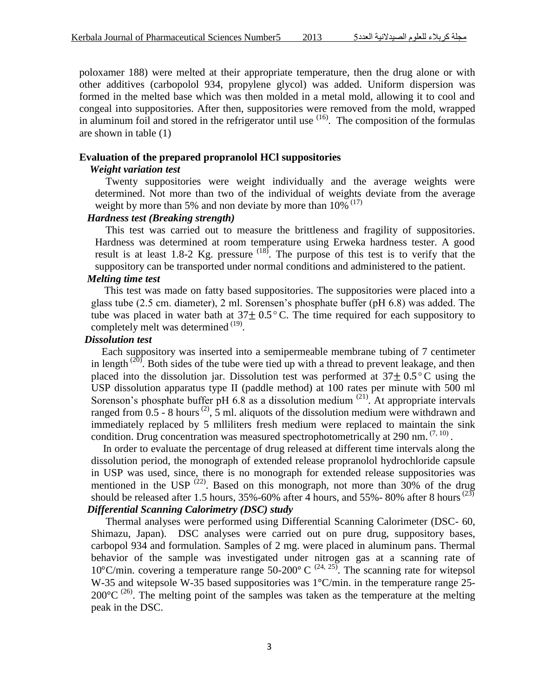poloxamer 188) were melted at their appropriate temperature, then the drug alone or with other additives (carbopolol 934, propylene glycol) was added. Uniform dispersion was formed in the melted base which was then molded in a metal mold, allowing it to cool and congeal into suppositories. After then, suppositories were removed from the mold, wrapped in aluminum foil and stored in the refrigerator until use <sup>(16)</sup>. The composition of the formulas are shown in table (1)

#### **Evaluation of the prepared propranolol HCl suppositories**

#### *Weight variation test*

 Twenty suppositories were weight individually and the average weights were determined. Not more than two of the individual of weights deviate from the average weight by more than 5% and non deviate by more than  $10\%$ <sup> $(17)$ </sup>

## *Hardness test (Breaking strength)*

This test was carried out to measure the brittleness and fragility of suppositories. Hardness was determined at room temperature using Erweka hardness tester. A good result is at least 1.8-2 Kg. pressure  $(18)$ . The purpose of this test is to verify that the suppository can be transported under normal conditions and administered to the patient.

#### *Melting time test*

This test was made on fatty based suppositories. The suppositories were placed into a glass tube (2.5 cm. diameter), 2 ml. Sorensen's phosphate buffer (pH 6.8) was added. The tube was placed in water bath at  $37\pm0.5^{\circ}$  C. The time required for each suppository to completely melt was determined  $^{(19)}$ .

## *Dissolution test*

 Each suppository was inserted into a semipermeable membrane tubing of 7 centimeter in length  $(20)$ . Both sides of the tube were tied up with a thread to prevent leakage, and then placed into the dissolution jar. Dissolution test was performed at  $37\pm0.5^{\circ}$ C using the USP dissolution apparatus type II (paddle method) at 100 rates per minute with 500 ml Sorenson's phosphate buffer pH  $6.8$  as a dissolution medium  $(21)$ . At appropriate intervals ranged from  $0.5 - 8$  hours<sup>(2)</sup>, 5 ml. aliquots of the dissolution medium were withdrawn and immediately replaced by 5 mlliliters fresh medium were replaced to maintain the sink condition. Drug concentration was measured spectrophotometrically at 290 nm.  $(7, 10)$ .

 In order to evaluate the percentage of drug released at different time intervals along the dissolution period, the monograph of extended release propranolol hydrochloride capsule in USP was used, since, there is no monograph for extended release suppositories was mentioned in the USP  $(22)$ . Based on this monograph, not more than 30% of the drug should be released after 1.5 hours,  $35\%$ -60% after 4 hours, and 55%-80% after 8 hours<sup>(23)</sup> *Differential Scanning Calorimetry (DSC) study*

 Thermal analyses were performed using Differential Scanning Calorimeter (DSC- 60, Shimazu, Japan). DSC analyses were carried out on pure drug, suppository bases, carbopol 934 and formulation. Samples of 2 mg. were placed in aluminum pans. Thermal behavior of the sample was investigated under nitrogen gas at a scanning rate of 10 $^{\circ}$ C/min. covering a temperature range 50-200 $^{\circ}$  C <sup>(24, 25)</sup>. The scanning rate for witepsol W-35 and witepsole W-35 based suppositories was 1°C/min. in the temperature range 25- $200^{\circ}$ C<sup>(26)</sup>. The melting point of the samples was taken as the temperature at the melting peak in the DSC.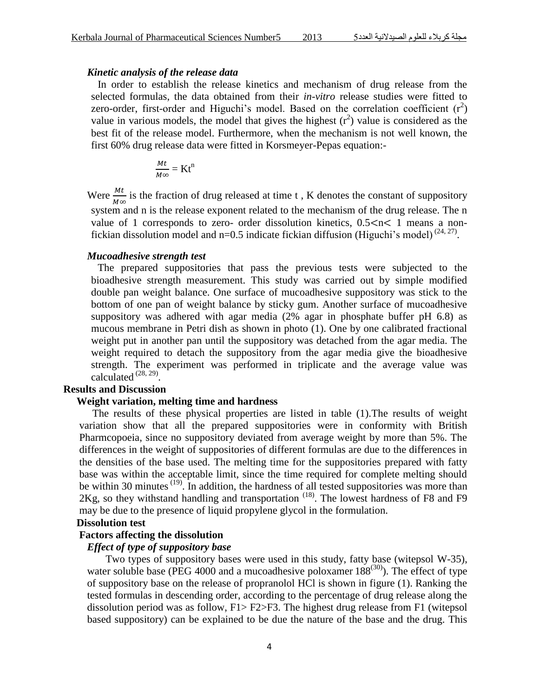#### *Kinetic analysis of the release data*

 In order to establish the release kinetics and mechanism of drug release from the selected formulas, the data obtained from their *in-vitro* release studies were fitted to zero-order, first-order and Higuchi's model. Based on the correlation coefficient  $(r^2)$ value in various models, the model that gives the highest  $(r^2)$  value is considered as the best fit of the release model. Furthermore, when the mechanism is not well known, the first 60% drug release data were fitted in Korsmeyer-Pepas equation:-

$$
\frac{Mt}{M\infty} = Kt^n
$$

Were  $\frac{M}{M}$  $\frac{m_t}{M\infty}$  is the fraction of drug released at time t, K denotes the constant of suppository system and n is the release exponent related to the mechanism of the drug release. The n value of 1 corresponds to zero- order dissolution kinetics,  $0.5 < n < 1$  means a nonfickian dissolution model and  $n=0.5$  indicate fickian diffusion (Higuchi's model)<sup>(24, 27)</sup>.

#### *Mucoadhesive strength test*

The prepared suppositories that pass the previous tests were subjected to the bioadhesive strength measurement. This study was carried out by simple modified double pan weight balance. One surface of mucoadhesive suppository was stick to the bottom of one pan of weight balance by sticky gum. Another surface of mucoadhesive suppository was adhered with agar media (2% agar in phosphate buffer pH 6.8) as mucous membrane in Petri dish as shown in photo (1). One by one calibrated fractional weight put in another pan until the suppository was detached from the agar media. The weight required to detach the suppository from the agar media give the bioadhesive strength. The experiment was performed in triplicate and the average value was calculated  $^{(28, 29)}$ .

### **Results and Discussion**

## **Weight variation, melting time and hardness**

The results of these physical properties are listed in table (1).The results of weight variation show that all the prepared suppositories were in conformity with British Pharmcopoeia, since no suppository deviated from average weight by more than 5%. The differences in the weight of suppositories of different formulas are due to the differences in the densities of the base used. The melting time for the suppositories prepared with fatty base was within the acceptable limit, since the time required for complete melting should be within 30 minutes<sup>(19)</sup>. In addition, the hardness of all tested suppositories was more than  $2Kg$ , so they withstand handling and transportation  $(18)$ . The lowest hardness of F8 and F9 may be due to the presence of liquid propylene glycol in the formulation.

## **Dissolution test**

## **Factors affecting the dissolution**

#### *Effect of type of suppository base*

 Two types of suppository bases were used in this study, fatty base (witepsol W-35), water soluble base (PEG 4000 and a mucoadhesive poloxamer  $188^{(30)}$ ). The effect of type of suppository base on the release of propranolol HCl is shown in figure (1). Ranking the tested formulas in descending order, according to the percentage of drug release along the dissolution period was as follow, F1> F2>F3. The highest drug release from F1 (witepsol based suppository) can be explained to be due the nature of the base and the drug. This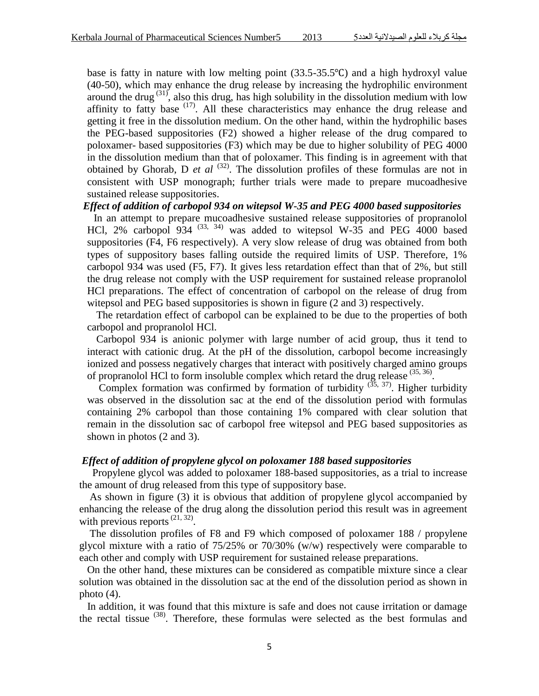base is fatty in nature with low melting point  $(33.5-35.5^{\circ}C)$  and a high hydroxyl value (40-50), which may enhance the drug release by increasing the hydrophilic environment around the drug  $(31)$ , also this drug, has high solubility in the dissolution medium with low affinity to fatty base  $(17)$ . All these characteristics may enhance the drug release and getting it free in the dissolution medium. On the other hand, within the hydrophilic bases the PEG-based suppositories (F2) showed a higher release of the drug compared to poloxamer- based suppositories (F3) which may be due to higher solubility of PEG 4000 in the dissolution medium than that of poloxamer. This finding is in agreement with that obtained by Ghorab, D  $et$   $al$   $(32)$ . The dissolution profiles of these formulas are not in consistent with USP monograph; further trials were made to prepare mucoadhesive sustained release suppositories.

#### *Effect of addition of carbopol 934 on witepsol W-35 and PEG 4000 based suppositories*

 In an attempt to prepare mucoadhesive sustained release suppositories of propranolol HCl, 2% carbopol 934  $(33, 34)$  was added to witepsol W-35 and PEG 4000 based suppositories (F4, F6 respectively). A very slow release of drug was obtained from both types of suppository bases falling outside the required limits of USP. Therefore, 1% carbopol 934 was used (F5, F7). It gives less retardation effect than that of 2%, but still the drug release not comply with the USP requirement for sustained release propranolol HCl preparations. The effect of concentration of carbopol on the release of drug from witepsol and PEG based suppositories is shown in figure (2 and 3) respectively.

 The retardation effect of carbopol can be explained to be due to the properties of both carbopol and propranolol HCl.

 Carbopol 934 is anionic polymer with large number of acid group, thus it tend to interact with cationic drug. At the pH of the dissolution, carbopol become increasingly ionized and possess negatively charges that interact with positively charged amino groups of propranolol HCl to form insoluble complex which retard the drug release <sup>(35, 36)</sup>.

Complex formation was confirmed by formation of turbidity  $(35, 37)$ . Higher turbidity was observed in the dissolution sac at the end of the dissolution period with formulas containing 2% carbopol than those containing 1% compared with clear solution that remain in the dissolution sac of carbopol free witepsol and PEG based suppositories as shown in photos (2 and 3).

#### *Effect of addition of propylene glycol on poloxamer 188 based suppositories*

 Propylene glycol was added to poloxamer 188-based suppositories, as a trial to increase the amount of drug released from this type of suppository base.

 As shown in figure (3) it is obvious that addition of propylene glycol accompanied by enhancing the release of the drug along the dissolution period this result was in agreement with previous reports  $(21, 32)$ .

 The dissolution profiles of F8 and F9 which composed of poloxamer 188 / propylene glycol mixture with a ratio of 75/25% or 70/30% (w/w) respectively were comparable to each other and comply with USP requirement for sustained release preparations.

 On the other hand, these mixtures can be considered as compatible mixture since a clear solution was obtained in the dissolution sac at the end of the dissolution period as shown in photo (4).

 In addition, it was found that this mixture is safe and does not cause irritation or damage the rectal tissue  $(38)$ . Therefore, these formulas were selected as the best formulas and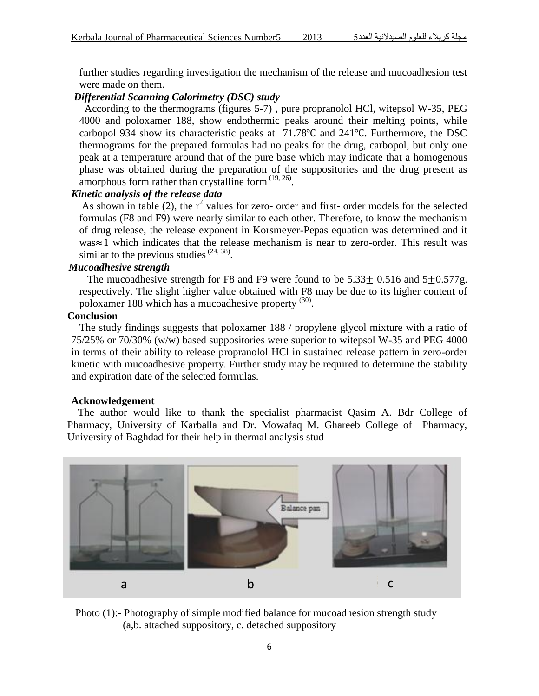further studies regarding investigation the mechanism of the release and mucoadhesion test were made on them.

# *Differential Scanning Calorimetry (DSC) study*

 According to the thermograms (figures 5-7) , pure propranolol HCl, witepsol W-35, PEG 4000 and poloxamer 188, show endothermic peaks around their melting points, while carbopol 934 show its characteristic peaks at  $71.78^{\circ}$ C and  $241^{\circ}$ C. Furthermore, the DSC thermograms for the prepared formulas had no peaks for the drug, carbopol, but only one peak at a temperature around that of the pure base which may indicate that a homogenous phase was obtained during the preparation of the suppositories and the drug present as amorphous form rather than crystalline form  $(19, 26)$ .

# *Kinetic analysis of the release data*

As shown in table (2), the  $r^2$  values for zero- order and first- order models for the selected formulas (F8 and F9) were nearly similar to each other. Therefore, to know the mechanism of drug release, the release exponent in Korsmeyer-Pepas equation was determined and it  $was \approx 1$  which indicates that the release mechanism is near to zero-order. This result was similar to the previous studies  $(24, 38)$ .

# *Mucoadhesive strength*

The mucoadhesive strength for F8 and F9 were found to be  $5.33 \pm 0.516$  and  $5 \pm 0.577$ g. respectively. The slight higher value obtained with F8 may be due to its higher content of poloxamer 188 which has a mucoadhesive property <sup>(30)</sup>.

## **Conclusion**

The study findings suggests that poloxamer 188 / propylene glycol mixture with a ratio of 75/25% or 70/30% (w/w) based suppositories were superior to witepsol W-35 and PEG 4000 in terms of their ability to release propranolol HCl in sustained release pattern in zero-order kinetic with mucoadhesive property. Further study may be required to determine the stability and expiration date of the selected formulas.

#### **Acknowledgement**

The author would like to thank the specialist pharmacist Qasim A. Bdr College of Pharmacy, University of Karballa and Dr. Mowafaq M. Ghareeb College of Pharmacy, University of Baghdad for their help in thermal analysis stud



Photo (1):- Photography of simple modified balance for mucoadhesion strength study (a,b. attached suppository, c. detached suppository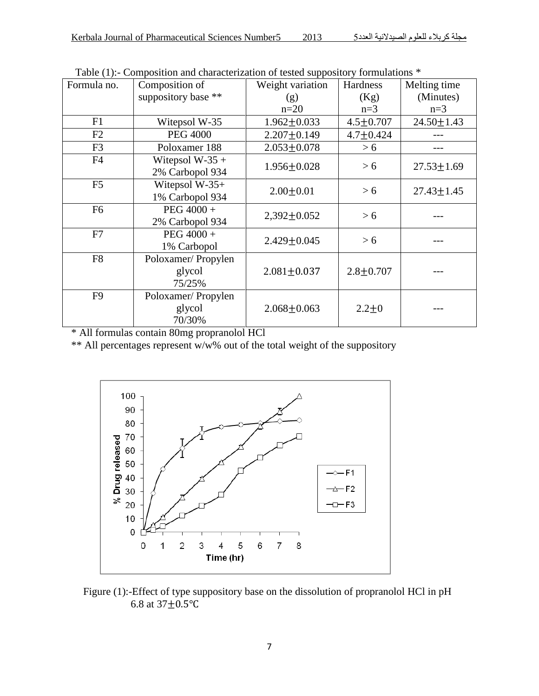| Formula no.    | $\sum_{i=1}^{n}$<br>Composition of     | Weight variation  | Hardness                            | Melting time     |
|----------------|----------------------------------------|-------------------|-------------------------------------|------------------|
|                | suppository base **                    | (g)               | (Kg)                                | (Minutes)        |
|                |                                        | $n=20$            | $n=3$                               | $n=3$            |
| F1             | Witepsol W-35                          | $1.962 \pm 0.033$ | $4.5 \pm 0.707$<br>$24.50 \pm 1.43$ |                  |
| F2             | <b>PEG 4000</b>                        | $2.207 + 0.149$   | $4.7 \pm 0.424$                     |                  |
| F <sub>3</sub> | Poloxamer 188                          | $2.053 \pm 0.078$ | > 6                                 |                  |
| F4             | Witepsol $W-35 +$<br>2% Carbopol 934   | $1.956 \pm 0.028$ | > 6                                 | $27.53 \pm 1.69$ |
| F <sub>5</sub> | Witepsol $W-35+$<br>1% Carbopol 934    | $2.00 \pm 0.01$   | > 6                                 | $27.43 \pm 1.45$ |
| F <sub>6</sub> | PEG 4000 +<br>2% Carbopol 934          | $2,392 \pm 0.052$ | > 6                                 |                  |
| F7             | PEG 4000 +<br>1% Carbopol              | $2.429 \pm 0.045$ | > 6                                 |                  |
| F <sub>8</sub> | Poloxamer/Propylen<br>glycol<br>75/25% | $2.081 \pm 0.037$ | $2.8 \pm 0.707$                     |                  |
| F <sub>9</sub> | Poloxamer/Propylen<br>glycol<br>70/30% | $2.068 \pm 0.063$ | $2.2 + 0$                           |                  |

Table (1):- Composition and characterization of tested suppository formulations \*

\* All formulas contain 80mg propranolol HCl

\*\* All percentages represent w/w% out of the total weight of the suppository



Figure (1):-Effect of type suppository base on the dissolution of propranolol HCl in pH 6.8 at  $37 + 0.5$ °C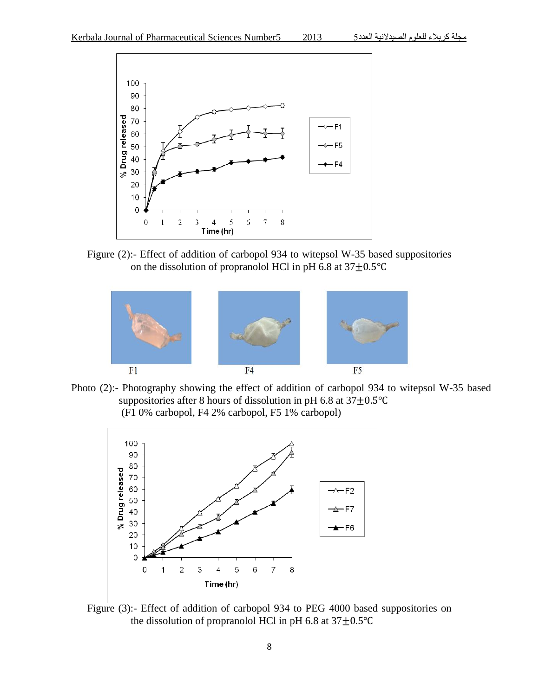

Figure (2):- Effect of addition of carbopol 934 to witepsol W-35 based suppositories on the dissolution of propranolol HCl in pH 6.8 at  $37\pm0.5^{\circ}$ C



Photo (2):- Photography showing the effect of addition of carbopol 934 to witepsol W-35 based suppositories after 8 hours of dissolution in pH 6.8 at  $37 \pm 0.5^{\circ}$ C (F1 0% carbopol, F4 2% carbopol, F5 1% carbopol)



Figure (3):- Effect of addition of carbopol 934 to PEG 4000 based suppositories on the dissolution of propranolol HCl in pH 6.8 at  $37\pm0.5^{\circ}$ C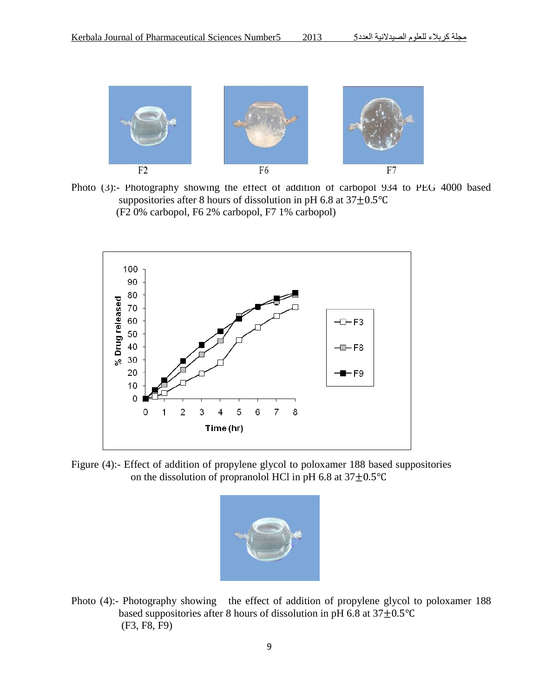

Photo (3):- Photography showing the effect of addition of carbopol 934 to PEG 4000 based suppositories after 8 hours of dissolution in pH 6.8 at  $37\pm0.5^{\circ}$ C (F2 0% carbopol, F6 2% carbopol, F7 1% carbopol)



Figure (4):- Effect of addition of propylene glycol to poloxamer 188 based suppositories on the dissolution of propranolol HCl in pH 6.8 at  $37\pm0.5^{\circ}$ C



Photo (4):- Photography showing the effect of addition of propylene glycol to poloxamer 188 based suppositories after 8 hours of dissolution in pH 6.8 at  $37\pm0.5^{\circ}$ C (F3, F8, F9)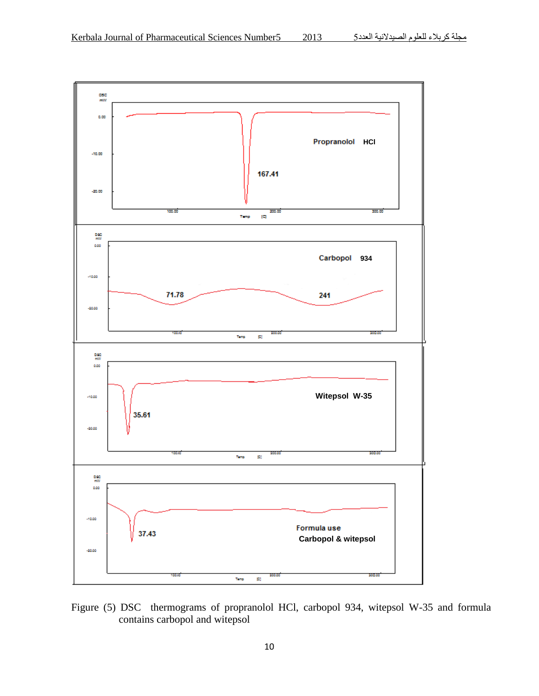

Figure (5) DSC thermograms of propranolol HCl, carbopol 934, witepsol W-35 and formula contains carbopol and witepsol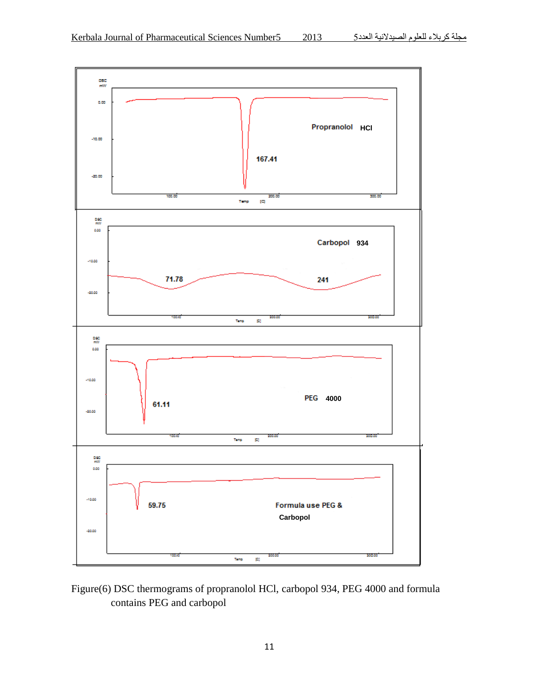

# Figure(6) DSC thermograms of propranolol HCl, carbopol 934, PEG 4000 and formula contains PEG and carbopol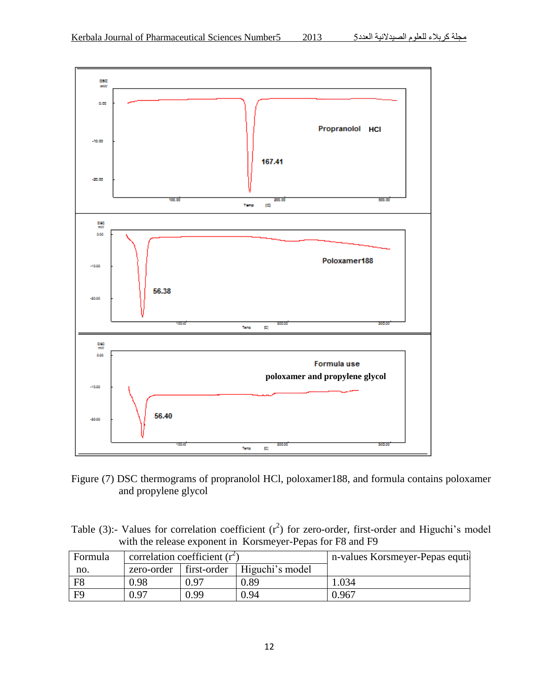

Figure (7) DSC thermograms of propranolol HCl, poloxamer188, and formula contains poloxamer and propylene glycol

Table (3):- Values for correlation coefficient  $(r^2)$  for zero-order, first-order and Higuchi's model with the release exponent in Korsmeyer-Pepas for F8 and F9

| Formula        | correlation coefficient $(r^2)$ |             |                 | n-values Korsmeyer-Pepas equti |
|----------------|---------------------------------|-------------|-----------------|--------------------------------|
| no.            | zero-order                      | first-order | Higuchi's model |                                |
| F <sub>8</sub> | 0.98                            | 0.97        | 0.89            | .034                           |
| F9             | 0.97                            | 0.99        | 0.94            | 0.967                          |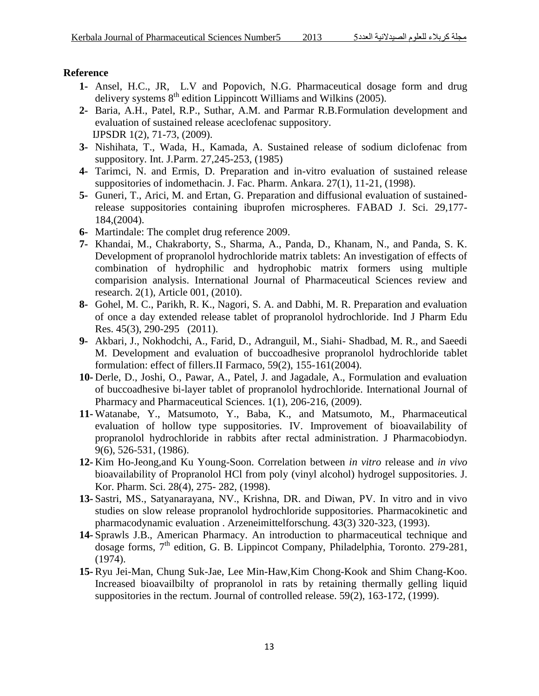# **Reference**

- **1-** Ansel, H.C., JR, L.V and Popovich, N.G. Pharmaceutical dosage form and drug delivery systems  $8<sup>th</sup>$  edition Lippincott Williams and Wilkins (2005).
- **2-** Baria, A.H., Patel, R.P., Suthar, A.M. and Parmar R.B.Formulation development and evaluation of sustained release aceclofenac suppository. IJPSDR 1(2), 71-73, (2009).
- **3-** Nishihata, T., Wada, H., Kamada, A. Sustained release of sodium diclofenac from suppository. Int. J.Parm. 27,245-253, (1985)
- **4-** Tarimci, N. and Ermis, D. Preparation and in-vitro evaluation of sustained release suppositories of indomethacin. J. Fac. Pharm. Ankara. 27(1), 11-21, (1998).
- **5-** Guneri, T., Arici, M. and Ertan, G. Preparation and diffusional evaluation of sustainedrelease suppositories containing ibuprofen microspheres. FABAD J. Sci. 29,177- 184,(2004).
- **6-** Martindale: The complet drug reference 2009.
- **7-** Khandai, M., Chakraborty, S., Sharma, A., Panda, D., Khanam, N., and Panda, S. K. Development of propranolol hydrochloride matrix tablets: An investigation of effects of combination of hydrophilic and hydrophobic matrix formers using multiple comparision analysis. International Journal of Pharmaceutical Sciences review and research. 2(1), Article 001, (2010).
- **8-** Gohel, M. C., Parikh, R. K., Nagori, S. A. and Dabhi, M. R. Preparation and evaluation of once a day extended release tablet of propranolol hydrochloride. Ind J Pharm Edu Res. 45(3), 290-295 (2011).
- **9-** Akbari, J., Nokhodchi, A., Farid, D., Adranguil, M., Siahi- Shadbad, M. R., and Saeedi M. Development and evaluation of buccoadhesive propranolol hydrochloride tablet formulation: effect of fillers.II Farmaco, 59(2), 155-161(2004).
- **10-** Derle, D., Joshi, O., Pawar, A., Patel, J. and Jagadale, A., Formulation and evaluation of buccoadhesive bi-layer tablet of propranolol hydrochloride. International Journal of Pharmacy and Pharmaceutical Sciences. 1(1), 206-216, (2009).
- **11-** Watanabe, Y., Matsumoto, Y., Baba, K., and Matsumoto, M., Pharmaceutical evaluation of hollow type suppositories. IV. Improvement of bioavailability of propranolol hydrochloride in rabbits after rectal administration. J Pharmacobiodyn. 9(6), 526-531, (1986).
- **12-** Kim Ho-Jeong,and Ku Young-Soon. Correlation between *in vitro* release and *in vivo* bioavailability of Propranolol HCl from poly (vinyl alcohol) hydrogel suppositories. J. Kor. Pharm. Sci. 28(4), 275- 282, (1998).
- **13-** Sastri, MS., Satyanarayana, NV., Krishna, DR. and Diwan, PV. In vitro and in vivo studies on slow release propranolol hydrochloride suppositories. Pharmacokinetic and pharmacodynamic evaluation . Arzeneimittelforschung. 43(3) 320-323, (1993).
- **14-** Sprawls J.B., American Pharmacy. An introduction to pharmaceutical technique and dosage forms, 7<sup>th</sup> edition, G. B. Lippincot Company, Philadelphia, Toronto. 279-281, (1974).
- **15-** Ryu Jei-Man, Chung Suk-Jae, Lee Min-Haw,Kim Chong-Kook and Shim Chang-Koo. Increased bioavailbilty of propranolol in rats by retaining thermally gelling liquid suppositories in the rectum. Journal of controlled release. 59(2), 163-172, (1999).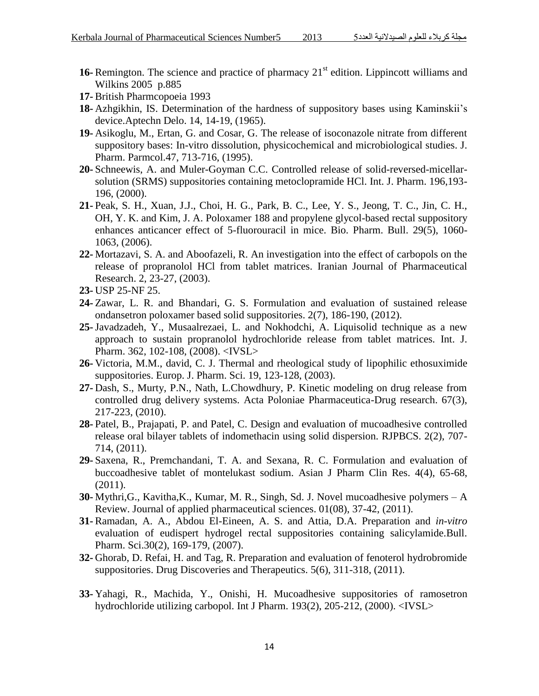- 16- Remington. The science and practice of pharmacy 21<sup>st</sup> edition. Lippincott williams and Wilkins 2005 p.885
- **17-** British Pharmcopoeia 1993
- **18-** Azhgikhin, IS. Determination of the hardness of suppository bases using Kaminskii's device.Aptechn Delo. 14, 14-19, (1965).
- **19-** Asikoglu, M., Ertan, G. and Cosar, G. The release of isoconazole nitrate from different suppository bases: In-vitro dissolution, physicochemical and microbiological studies. J. Pharm. Parmcol.47, 713-716, (1995).
- **20-** Schneewis, A. and Muler-Goyman C.C. Controlled release of solid-reversed-micellarsolution (SRMS) suppositories containing metoclopramide HCl. Int. J. Pharm. 196,193- 196, (2000).
- **21-** Peak, S. H., Xuan, J.J., Choi, H. G., Park, B. C., Lee, Y. S., Jeong, T. C., Jin, C. H., OH, Y. K. and Kim, J. A. Poloxamer 188 and propylene glycol-based rectal suppository enhances anticancer effect of 5-fluorouracil in mice. Bio. Pharm. Bull. 29(5), 1060- 1063, (2006).
- **22-** Mortazavi, S. A. and Aboofazeli, R. An investigation into the effect of carbopols on the release of propranolol HCl from tablet matrices. Iranian Journal of Pharmaceutical Research. 2, 23-27, (2003).
- **23-** USP 25-NF 25.
- **24-** Zawar, L. R. and Bhandari, G. S. Formulation and evaluation of sustained release ondansetron poloxamer based solid suppositories. 2(7), 186-190, (2012).
- **25-**Javadzadeh, Y., Musaalrezaei, L. and Nokhodchi, A. Liquisolid technique as a new approach to sustain propranolol hydrochloride release from tablet matrices. Int. J. Pharm. 362, 102-108, (2008). <IVSL>
- **26-** Victoria, M.M., david, C. J. Thermal and rheological study of lipophilic ethosuximide suppositories. Europ. J. Pharm. Sci. 19, 123-128, (2003).
- **27-** Dash, S., Murty, P.N., Nath, L.Chowdhury, P. Kinetic modeling on drug release from controlled drug delivery systems. Acta Poloniae Pharmaceutica-Drug research. 67(3), 217-223, (2010).
- **28-** Patel, B., Prajapati, P. and Patel, C. Design and evaluation of mucoadhesive controlled release oral bilayer tablets of indomethacin using solid dispersion. RJPBCS. 2(2), 707- 714, (2011).
- **29-** Saxena, R., Premchandani, T. A. and Sexana, R. C. Formulation and evaluation of buccoadhesive tablet of montelukast sodium. Asian J Pharm Clin Res. 4(4), 65-68, (2011).
- **30-** Mythri,G., Kavitha,K., Kumar, M. R., Singh, Sd. J. Novel mucoadhesive polymers A Review. Journal of applied pharmaceutical sciences. 01(08), 37-42, (2011).
- **31-** Ramadan, A. A., Abdou El-Eineen, A. S. and Attia, D.A. Preparation and *in-vitro* evaluation of eudispert hydrogel rectal suppositories containing salicylamide.Bull. Pharm. Sci.30(2), 169-179, (2007).
- **32-** Ghorab, D. Refai, H. and Tag, R. Preparation and evaluation of fenoterol hydrobromide suppositories. Drug Discoveries and Therapeutics. 5(6), 311-318, (2011).
- **33-** Yahagi, R., Machida, Y., Onishi, H. Mucoadhesive suppositories of ramosetron hydrochloride utilizing carbopol. Int J Pharm. 193(2), 205-212, (2000). <IVSL>